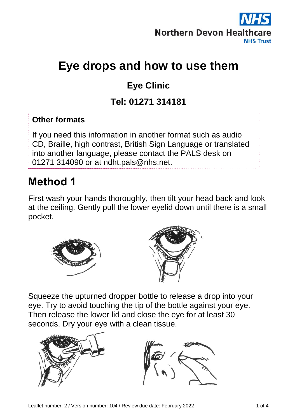

# **Eye drops and how to use them**

## **Eye Clinic**

#### **Tel: 01271 314181**

#### **Other formats**

If you need this information in another format such as audio CD, Braille, high contrast, British Sign Language or translated into another language, please contact the PALS desk on 01271 314090 or at ndht.pals@nhs.net.

## **Method 1**

First wash your hands thoroughly, then tilt your head back and look at the ceiling. Gently pull the lower eyelid down until there is a small pocket.



Squeeze the upturned dropper bottle to release a drop into your eye. Try to avoid touching the tip of the bottle against your eye. Then release the lower lid and close the eye for at least 30 seconds. Dry your eye with a clean tissue.

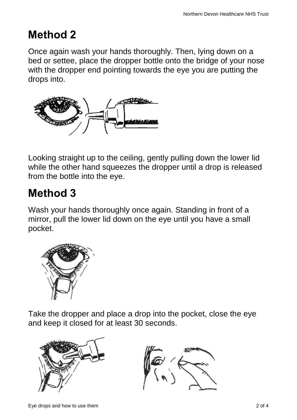## **Method 2**

Once again wash your hands thoroughly. Then, lying down on a bed or settee, place the dropper bottle onto the bridge of your nose with the dropper end pointing towards the eye you are putting the drops into.



Looking straight up to the ceiling, gently pulling down the lower lid while the other hand squeezes the dropper until a drop is released from the bottle into the eye.

## **Method 3**

Wash your hands thoroughly once again. Standing in front of a mirror, pull the lower lid down on the eye until you have a small pocket.



Take the dropper and place a drop into the pocket, close the eye and keep it closed for at least 30 seconds.



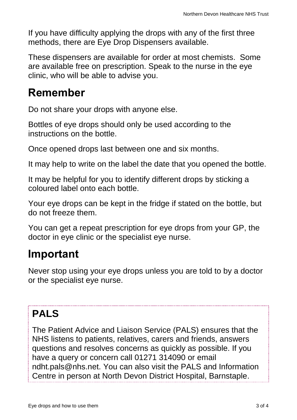If you have difficulty applying the drops with any of the first three methods, there are Eye Drop Dispensers available.

These dispensers are available for order at most chemists. Some are available free on prescription. Speak to the nurse in the eye clinic, who will be able to advise you.

#### **Remember**

Do not share your drops with anyone else.

Bottles of eye drops should only be used according to the instructions on the bottle.

Once opened drops last between one and six months.

It may help to write on the label the date that you opened the bottle.

It may be helpful for you to identify different drops by sticking a coloured label onto each bottle.

Your eye drops can be kept in the fridge if stated on the bottle, but do not freeze them.

You can get a repeat prescription for eye drops from your GP, the doctor in eye clinic or the specialist eye nurse.

## **Important**

Never stop using your eye drops unless you are told to by a doctor or the specialist eye nurse.

## **PALS**

The Patient Advice and Liaison Service (PALS) ensures that the NHS listens to patients, relatives, carers and friends, answers questions and resolves concerns as quickly as possible. If you have a query or concern call 01271 314090 or email ndht.pals@nhs.net. You can also visit the PALS and Information Centre in person at North Devon District Hospital, Barnstaple.

Alternatively, it may be possible for us to arrange an appointment